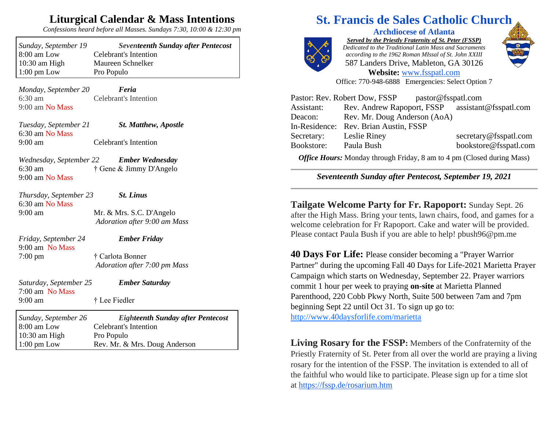## **Liturgical Calendar & Mass Intentions**

*Confessions heard before all Masses. Sundays 7:30, 10:00 & 12:30 pm*

| Sunday, September 19  | <b>Seventeenth Sunday after Pentecost</b> |
|-----------------------|-------------------------------------------|
| $8:00$ am Low         | Celebrant's Intention                     |
| $10:30$ am High       | Maureen Schnelker                         |
| $1:00 \text{ pm}$ Low | Pro Populo                                |

*Monday, September 20 Feria* 6:30 am Celebrant's Intention 9:00 am No Mass

*Tuesday, September 21 St. Matthew, Apostle* 6:30 am No Mass

9:00 am Celebrant's Intention

*Wednesday, September 22 Ember Wednesday* 6:30 am † Gene & Jimmy D'Angelo 9:00 am No Mass

*Thursday, September 23 St. Linus* 6:30 am No Mass

9:00 am Mr. & Mrs. S.C. D'Angelo *Adoration after 9:00 am Mass*

*Friday, September 24 Ember Friday* 9:00 am No Mass 7:00 pm † Carlota Bonner

*Adoration after 7:00 pm Mass*

*Saturday, September 25 Ember Saturday* 7:00 am No Mass 9:00 am † Lee Fiedler

*Sunday, September 26 Eighteenth Sunday after Pentecost* 8:00 am Low Celebrant's Intention 10:30 am High Pro Populo 1:00 pm Low Rev. Mr. & Mrs. Doug Anderson

## **St. Francis de Sales Catholic Church**



**Archdiocese of Atlanta** *Served by the Priestly Fraternity of St. Peter (FSSP) Dedicated to the Traditional Latin Mass and Sacraments according to the 1962 Roman MIssal of St. John XXIII* 587 Landers Drive, Mableton, GA 30126 **Website:** [www.fsspatl.com](http://www.fsspatl.com/)



Office: 770-948-6888 Emergencies: Select Option 7

|            | Pastor: Rev. Robert Dow, FSSP                    | pastor@fsspatl.com    |
|------------|--------------------------------------------------|-----------------------|
| Assistant: | Rev. Andrew Rapoport, FSSP assistant@fsspatl.com |                       |
| Deacon:    | Rev. Mr. Doug Anderson (AoA)                     |                       |
|            | In-Residence: Rev. Brian Austin, FSSP            |                       |
| Secretary: | Leslie Riney                                     | secretary@fsspatl.com |
| Bookstore: | Paula Bush                                       | bookstore@fsspatl.com |
|            |                                                  |                       |

*Office Hours:* Monday through Friday, 8 am to 4 pm (Closed during Mass)

*Seventeenth Sunday after Pentecost, September 19, 2021*

**Tailgate Welcome Party for Fr. Rapoport:** Sunday Sept. 26 after the High Mass. Bring your tents, lawn chairs, food, and games for a welcome celebration for Fr Rapoport. Cake and water will be provided. Please contact Paula Bush if you are able to help! pbush96@pm.me

**40 Days For Life:** Please consider becoming a "Prayer Warrior Partner" during the upcoming Fall 40 Days for Life-2021 Marietta Prayer Campaign which starts on Wednesday, September 22. Prayer warriors commit 1 hour per week to praying **on-site** at Marietta Planned Parenthood, 220 Cobb Pkwy North, Suite 500 between 7am and 7pm beginning Sept 22 until Oct 31. To sign up go to: http://www.40daysforlife.com/marietta

**Living Rosary for the FSSP:** Members of the Confraternity of the Priestly Fraternity of St. Peter from all over the world are praying a living rosary for the intention of the FSSP. The invitation is extended to all of the faithful who would like to participate. Please sign up for a time slot at <https://fssp.de/rosarium.htm>